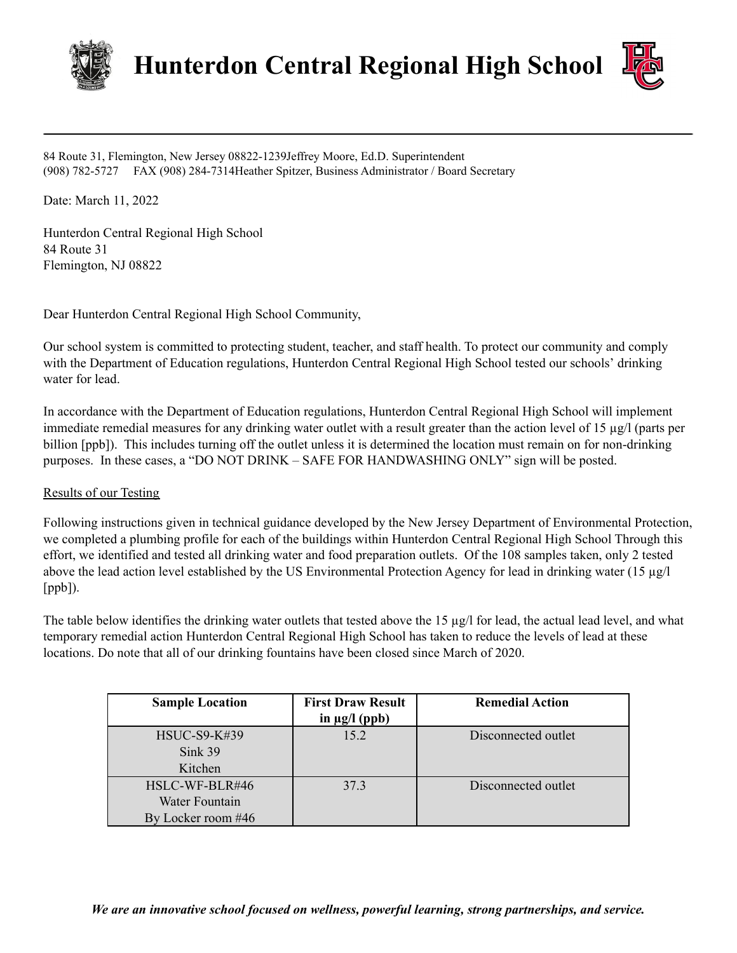

**Hunterdon Central Regional High School**



84 Route 31, Flemington, New Jersey 08822-1239Jeffrey Moore, Ed.D. Superintendent (908) 782-5727 FAX (908) 284-7314Heather Spitzer, Business Administrator / Board Secretary

Date: March 11, 2022

Hunterdon Central Regional High School 84 Route 31 Flemington, NJ 08822

Dear Hunterdon Central Regional High School Community,

Our school system is committed to protecting student, teacher, and staff health. To protect our community and comply with the Department of Education regulations, Hunterdon Central Regional High School tested our schools' drinking water for lead.

In accordance with the Department of Education regulations, Hunterdon Central Regional High School will implement immediate remedial measures for any drinking water outlet with a result greater than the action level of 15 µg/l (parts per billion [ppb]). This includes turning off the outlet unless it is determined the location must remain on for non-drinking purposes. In these cases, a "DO NOT DRINK – SAFE FOR HANDWASHING ONLY" sign will be posted.

# Results of our Testing

Following instructions given in technical guidance developed by the New Jersey Department of Environmental Protection, we completed a plumbing profile for each of the buildings within Hunterdon Central Regional High School Through this effort, we identified and tested all drinking water and food preparation outlets. Of the 108 samples taken, only 2 tested above the lead action level established by the US Environmental Protection Agency for lead in drinking water  $(15 \mu g/l)$ [ppb]).

The table below identifies the drinking water outlets that tested above the  $15 \mu g/l$  for lead, the actual lead level, and what temporary remedial action Hunterdon Central Regional High School has taken to reduce the levels of lead at these locations. Do note that all of our drinking fountains have been closed since March of 2020.

| <b>Sample Location</b>                                 | <b>First Draw Result</b><br>in $\mu$ g/l (ppb) | <b>Remedial Action</b> |
|--------------------------------------------------------|------------------------------------------------|------------------------|
| <b>HSUC-S9-K#39</b><br>Sink 39<br>Kitchen              | 15.2                                           | Disconnected outlet    |
| HSLC-WF-BLR#46<br>Water Fountain<br>By Locker room #46 | 37.3                                           | Disconnected outlet    |